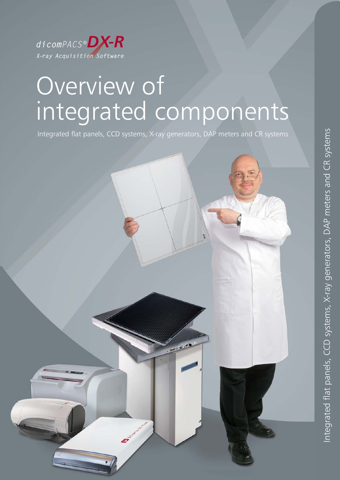

## Overview of integrated components

Integrated flat panels, CCD systems, X-ray generators, DAP meters and CR systems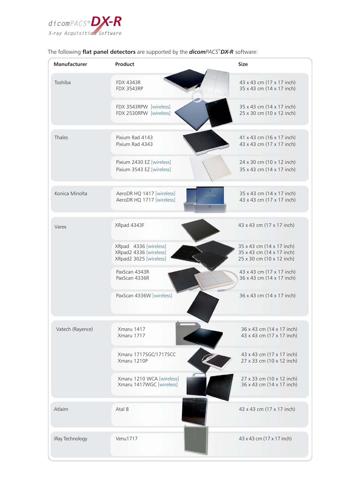

| Manufacturer     | Product                                                                   | <b>Size</b>                                                                         |
|------------------|---------------------------------------------------------------------------|-------------------------------------------------------------------------------------|
| Toshiba          | <b>FDX 4343R</b><br><b>FDX 3543RP</b>                                     | 43 x 43 cm (17 x 17 inch)<br>35 x 43 cm (14 x 17 inch)                              |
|                  | FDX 3543RPW [wireless]<br>FDX 2530RPW [wireless]                          | 35 x 43 cm (14 x 17 inch)<br>25 x 30 cm (10 x 12 inch)                              |
| Thales           | Pixium Rad 4143<br>Pixium Rad 4343                                        | 41 x 43 cm (16 x 17 inch)<br>43 x 43 cm (17 x 17 inch)                              |
|                  | Pixium 2430 EZ [wireless]<br>Pixium 3543 EZ [wireless]                    | 24 x 30 cm (10 x 12 inch)<br>35 x 43 cm (14 x 17 inch)                              |
| Konica Minolta   | AeroDR HQ 1417 [wireless]<br>man<br>AeroDR HQ 1717 [wireless]             | 35 x 43 cm (14 x 17 inch)<br>43 x 43 cm (17 x 17 inch)                              |
| Varex            | XRpad 4343F                                                               | 43 x 43 cm (17 x 17 inch)                                                           |
|                  | XRpad 4336 [wireless]<br>XRpad2 4336 [wireless]<br>XRpad2 3025 [wireless] | 35 x 43 cm (14 x 17 inch)<br>35 x 43 cm (14 x 17 inch)<br>25 x 30 cm (10 x 12 inch) |
|                  | PaxScan 4343R<br>PaxScan 4336R                                            | 43 x 43 cm (17 x 17 inch)<br>36 x 43 cm (14 x 17 inch)                              |
|                  | PaxScan 4336W [wireless]                                                  | 36 x 43 cm (14 x 17 inch)                                                           |
| Vatech (Rayence) | Xmaru 1417<br>Xmaru 1717                                                  | 36 x 43 cm (14 x 17 inch)<br>43 x 43 cm (17 x 17 inch)                              |
|                  | Xmaru 1717SGC/1717SCC<br>Xmaru 1210P                                      | 43 x 43 cm (17 x 17 inch)<br>27 x 33 cm (10 x 12 inch)                              |
|                  | Xmaru 1210 WCA [wireless]<br>Xmaru 1417WGC [wireless]                     | 27 x 33 cm (10 x 12 inch)<br>36 x 43 cm (14 x 17 inch)                              |
| Atlaim           | Atal 8                                                                    | 43 x 43 cm (17 x 17 inch)                                                           |
| iRay Technology  | Venu1717                                                                  | 43 x 43 cm (17 x 17 inch)                                                           |

## The following **flat panel detectors** are supported by the **dicom**PACS® **DX-R** software: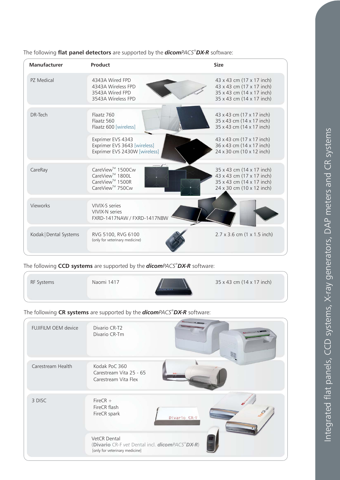| Manufacturer           | Product                                                                                                                   | <b>Size</b>                                                                                                      |
|------------------------|---------------------------------------------------------------------------------------------------------------------------|------------------------------------------------------------------------------------------------------------------|
| PZ Medical             | 4343A Wired FPD<br>4343A Wireless FPD<br>3543A Wired FPD<br>3543A Wireless FPD                                            | 43 x 43 cm (17 x 17 inch)<br>43 x 43 cm (17 x 17 inch)<br>35 x 43 cm (14 x 17 inch)<br>35 x 43 cm (14 x 17 inch) |
| DR-Tech                | Flaatz 760<br>Flaatz 560<br>Flaatz 600 [wireless]                                                                         | 43 x 43 cm (17 x 17 inch)<br>35 x 43 cm (14 x 17 inch)<br>35 x 43 cm (14 x 17 inch)                              |
|                        | Exprimer EVS 4343<br>Exprimer EVS 3643 [wireless]<br>Exprimer EVS 2430W [wireless]                                        | 43 x 43 cm (17 x 17 inch)<br>36 x 43 cm (14 x 17 inch)<br>24 x 30 cm (10 x 12 inch)                              |
| CareRay                | CareView <sup>™</sup> 1500Cw<br>CareView <sup>™</sup> 1800L<br>CareView <sup>™</sup> 1500R<br>CareView <sup>™</sup> 750Cw | 35 x 43 cm (14 x 17 inch)<br>43 x 43 cm (17 x 17 inch)<br>35 x 43 cm (14 x 17 inch)<br>24 x 30 cm (10 x 12 inch) |
| Vieworks               | VIVIX-S series<br>VIVIX-N series<br>FXRD-1417NAW / FXRD-1417NBW                                                           |                                                                                                                  |
| Kodak   Dental Systems | RVG 5100, RVG 6100<br>(only for veterinary medicine)                                                                      | $2.7 \times 3.6$ cm $(1 \times 1.5$ inch)                                                                        |

The following **flat panel detectors** are supported by the **dicom**PACS® **DX-R** software:

The following CCD systems are supported by the **dicom**PACS®DX-R software:

| 35 x 43 cm (14 x 17 inch)<br>Naomi 1417<br>RF Systems |  |
|-------------------------------------------------------|--|
|-------------------------------------------------------|--|

The following CR systems are supported by the **dicom**PACS®DX-R software:

| FUJIFILM OEM device | <b>AL MONTE</b><br>Divario CR-T2<br>Divario CR-Tm                                                |
|---------------------|--------------------------------------------------------------------------------------------------|
| Carestream Health   | Kodak PoC 360<br>Carestream Vita 25 - 65<br>Carestream Vita Flex                                 |
| 3 DISC              | FireCR $+$<br>FireCR flash<br><b>CEDERATION</b><br>FireCR spark<br>Divario CR-F                  |
|                     | VetCR Dental<br>(Divario CR-F vet Dental incl. dicomPACS®DX-R)<br>[only for veterinary medicine] |